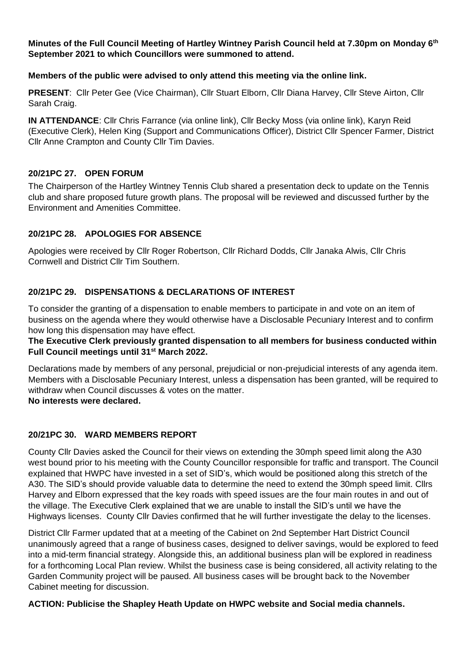**Minutes of the Full Council Meeting of Hartley Wintney Parish Council held at 7.30pm on Monday 6th September 2021 to which Councillors were summoned to attend.**

### **Members of the public were advised to only attend this meeting via the online link.**

**PRESENT**: Cllr Peter Gee (Vice Chairman), Cllr Stuart Elborn, Cllr Diana Harvey, Cllr Steve Airton, Cllr Sarah Craig.

**IN ATTENDANCE**: Cllr Chris Farrance (via online link), Cllr Becky Moss (via online link), Karyn Reid (Executive Clerk), Helen King (Support and Communications Officer), District Cllr Spencer Farmer, District Cllr Anne Crampton and County Cllr Tim Davies.

### **20/21PC 27. OPEN FORUM**

The Chairperson of the Hartley Wintney Tennis Club shared a presentation deck to update on the Tennis club and share proposed future growth plans. The proposal will be reviewed and discussed further by the Environment and Amenities Committee.

### **20/21PC 28. APOLOGIES FOR ABSENCE**

Apologies were received by Cllr Roger Robertson, Cllr Richard Dodds, Cllr Janaka Alwis, Cllr Chris Cornwell and District Cllr Tim Southern.

## **20/21PC 29. DISPENSATIONS & DECLARATIONS OF INTEREST**

To consider the granting of a dispensation to enable members to participate in and vote on an item of business on the agenda where they would otherwise have a Disclosable Pecuniary Interest and to confirm how long this dispensation may have effect.

### **The Executive Clerk previously granted dispensation to all members for business conducted within Full Council meetings until 31st March 2022.**

Declarations made by members of any personal, prejudicial or non-prejudicial interests of any agenda item. Members with a Disclosable Pecuniary Interest, unless a dispensation has been granted, will be required to withdraw when Council discusses & votes on the matter.

**No interests were declared.** 

#### **20/21PC 30. WARD MEMBERS REPORT**

County Cllr Davies asked the Council for their views on extending the 30mph speed limit along the A30 west bound prior to his meeting with the County Councillor responsible for traffic and transport. The Council explained that HWPC have invested in a set of SID's, which would be positioned along this stretch of the A30. The SID's should provide valuable data to determine the need to extend the 30mph speed limit. Cllrs Harvey and Elborn expressed that the key roads with speed issues are the four main routes in and out of the village. The Executive Clerk explained that we are unable to install the SID's until we have the Highways licenses. County Cllr Davies confirmed that he will further investigate the delay to the licenses.

District Cllr Farmer updated that at a meeting of the Cabinet on 2nd September Hart District Council unanimously agreed that a range of business cases, designed to deliver savings, would be explored to feed into a mid-term financial strategy. Alongside this, an additional business plan will be explored in readiness for a forthcoming Local Plan review. Whilst the business case is being considered, all activity relating to the Garden Community project will be paused. All business cases will be brought back to the November Cabinet meeting for discussion.

#### **ACTION: Publicise the Shapley Heath Update on HWPC website and Social media channels.**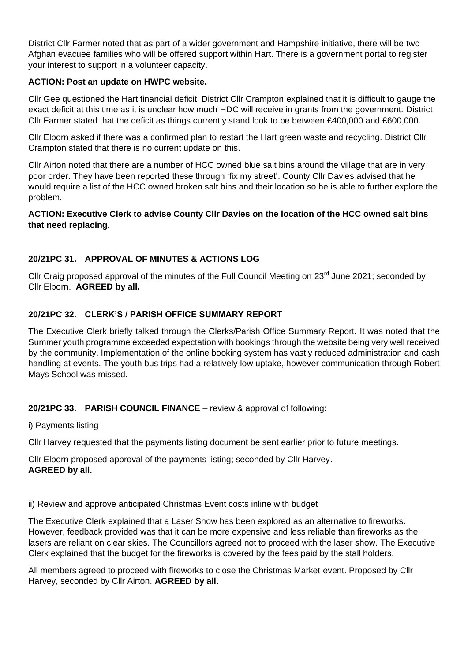District Cllr Farmer noted that as part of a wider government and Hampshire initiative, there will be two Afghan evacuee families who will be offered support within Hart. There is a government portal to register your interest to support in a volunteer capacity.

## **ACTION: Post an update on HWPC website.**

Cllr Gee questioned the Hart financial deficit. District Cllr Crampton explained that it is difficult to gauge the exact deficit at this time as it is unclear how much HDC will receive in grants from the government. District Cllr Farmer stated that the deficit as things currently stand look to be between £400,000 and £600,000.

Cllr Elborn asked if there was a confirmed plan to restart the Hart green waste and recycling. District Cllr Crampton stated that there is no current update on this.

Cllr Airton noted that there are a number of HCC owned blue salt bins around the village that are in very poor order. They have been reported these through 'fix my street'. County Cllr Davies advised that he would require a list of the HCC owned broken salt bins and their location so he is able to further explore the problem.

## **ACTION: Executive Clerk to advise County Cllr Davies on the location of the HCC owned salt bins that need replacing.**

# **20/21PC 31. APPROVAL OF MINUTES & ACTIONS LOG**

Cllr Craig proposed approval of the minutes of the Full Council Meeting on 23<sup>rd</sup> June 2021; seconded by Cllr Elborn. **AGREED by all.**

# **20/21PC 32. CLERK'S / PARISH OFFICE SUMMARY REPORT**

The Executive Clerk briefly talked through the Clerks/Parish Office Summary Report. It was noted that the Summer youth programme exceeded expectation with bookings through the website being very well received by the community. Implementation of the online booking system has vastly reduced administration and cash handling at events. The youth bus trips had a relatively low uptake, however communication through Robert Mays School was missed.

# **20/21PC 33. PARISH COUNCIL FINANCE** – review & approval of following:

i) Payments listing

Cllr Harvey requested that the payments listing document be sent earlier prior to future meetings.

Cllr Elborn proposed approval of the payments listing; seconded by Cllr Harvey. **AGREED by all.**

ii) Review and approve anticipated Christmas Event costs inline with budget

The Executive Clerk explained that a Laser Show has been explored as an alternative to fireworks. However, feedback provided was that it can be more expensive and less reliable than fireworks as the lasers are reliant on clear skies. The Councillors agreed not to proceed with the laser show. The Executive Clerk explained that the budget for the fireworks is covered by the fees paid by the stall holders.

All members agreed to proceed with fireworks to close the Christmas Market event. Proposed by Cllr Harvey, seconded by Cllr Airton. **AGREED by all.**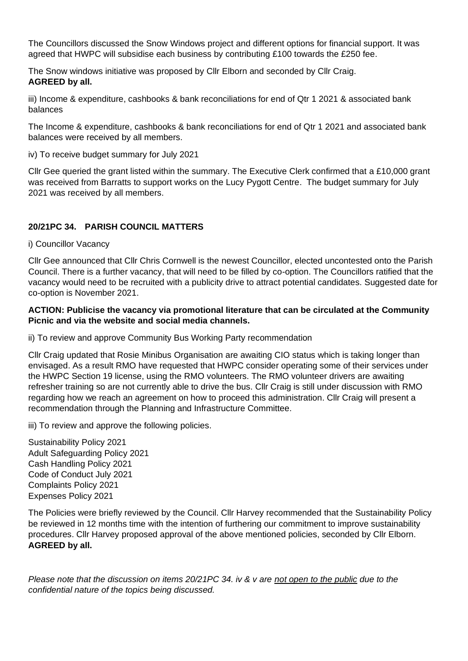The Councillors discussed the Snow Windows project and different options for financial support. It was agreed that HWPC will subsidise each business by contributing £100 towards the £250 fee.

The Snow windows initiative was proposed by Cllr Elborn and seconded by Cllr Craig. **AGREED by all.**

iii) Income & expenditure, cashbooks & bank reconciliations for end of Qtr 1 2021 & associated bank balances

The Income & expenditure, cashbooks & bank reconciliations for end of Qtr 1 2021 and associated bank balances were received by all members.

### iv) To receive budget summary for July 2021

Cllr Gee queried the grant listed within the summary. The Executive Clerk confirmed that a £10,000 grant was received from Barratts to support works on the Lucy Pygott Centre. The budget summary for July 2021 was received by all members.

## **20/21PC 34. PARISH COUNCIL MATTERS**

i) Councillor Vacancy

Cllr Gee announced that Cllr Chris Cornwell is the newest Councillor, elected uncontested onto the Parish Council. There is a further vacancy, that will need to be filled by co-option. The Councillors ratified that the vacancy would need to be recruited with a publicity drive to attract potential candidates. Suggested date for co-option is November 2021.

## **ACTION: Publicise the vacancy via promotional literature that can be circulated at the Community Picnic and via the website and social media channels.**

ii) To review and approve Community Bus Working Party recommendation

Cllr Craig updated that Rosie Minibus Organisation are awaiting CIO status which is taking longer than envisaged. As a result RMO have requested that HWPC consider operating some of their services under the HWPC Section 19 license, using the RMO volunteers. The RMO volunteer drivers are awaiting refresher training so are not currently able to drive the bus. Cllr Craig is still under discussion with RMO regarding how we reach an agreement on how to proceed this administration. Cllr Craig will present a recommendation through the Planning and Infrastructure Committee.

iii) To review and approve the following policies.

Sustainability Policy 2021 Adult Safeguarding Policy 2021 Cash Handling Policy 2021 Code of Conduct July 2021 Complaints Policy 2021 Expenses Policy 2021

The Policies were briefly reviewed by the Council. Cllr Harvey recommended that the Sustainability Policy be reviewed in 12 months time with the intention of furthering our commitment to improve sustainability procedures. Cllr Harvey proposed approval of the above mentioned policies, seconded by Cllr Elborn. **AGREED by all.**

*Please note that the discussion on items 20/21PC 34. iv & v are not open to the public due to the confidential nature of the topics being discussed.*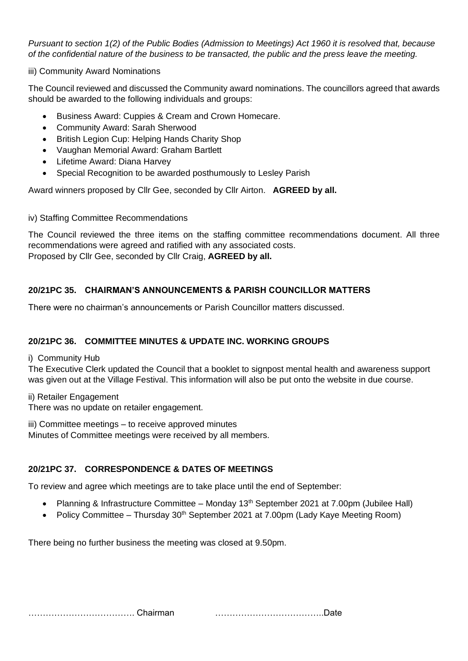*Pursuant to section 1(2) of the Public Bodies (Admission to Meetings) Act 1960 it is resolved that, because of the confidential nature of the business to be transacted, the public and the press leave the meeting.*

### iii) Community Award Nominations

The Council reviewed and discussed the Community award nominations. The councillors agreed that awards should be awarded to the following individuals and groups:

- Business Award: Cuppies & Cream and Crown Homecare.
- Community Award: Sarah Sherwood
- British Legion Cup: Helping Hands Charity Shop
- Vaughan Memorial Award: Graham Bartlett
- Lifetime Award: Diana Harvey
- Special Recognition to be awarded posthumously to Lesley Parish

Award winners proposed by Cllr Gee, seconded by Cllr Airton. **AGREED by all.**

iv) Staffing Committee Recommendations

The Council reviewed the three items on the staffing committee recommendations document. All three recommendations were agreed and ratified with any associated costs. Proposed by Cllr Gee, seconded by Cllr Craig, **AGREED by all.**

## **20/21PC 35. CHAIRMAN'S ANNOUNCEMENTS & PARISH COUNCILLOR MATTERS**

There were no chairman's announcements or Parish Councillor matters discussed.

#### **20/21PC 36. COMMITTEE MINUTES & UPDATE INC. WORKING GROUPS**

i) Community Hub

The Executive Clerk updated the Council that a booklet to signpost mental health and awareness support was given out at the Village Festival. This information will also be put onto the website in due course.

ii) Retailer Engagement

There was no update on retailer engagement.

iii) Committee meetings – to receive approved minutes Minutes of Committee meetings were received by all members.

## **20/21PC 37. CORRESPONDENCE & DATES OF MEETINGS**

To review and agree which meetings are to take place until the end of September:

- Planning & Infrastructure Committee Monday 13<sup>th</sup> September 2021 at 7.00pm (Jubilee Hall)
- Policy Committee Thursday  $30<sup>th</sup>$  September 2021 at 7.00pm (Lady Kaye Meeting Room)

There being no further business the meeting was closed at 9.50pm.